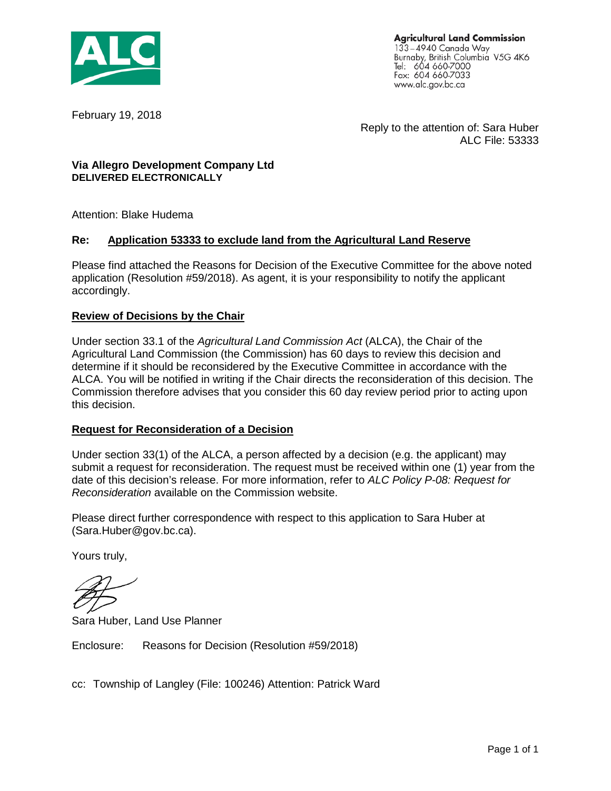

**Agricultural Land Commission** 133–4940 Canada Way<br>Burnaby, British Columbia V5G 4K6 Tel: 604 660-7000 Fax: 604 660-7033 www.alc.gov.bc.ca

February 19, 2018

Reply to the attention of: Sara Huber ALC File: 53333

#### **Via Allegro Development Company Ltd DELIVERED ELECTRONICALLY**

Attention: Blake Hudema

#### **Re: Application 53333 to exclude land from the Agricultural Land Reserve**

Please find attached the Reasons for Decision of the Executive Committee for the above noted application (Resolution #59/2018). As agent, it is your responsibility to notify the applicant accordingly.

#### **Review of Decisions by the Chair**

Under section 33.1 of the *Agricultural Land Commission Act* (ALCA), the Chair of the Agricultural Land Commission (the Commission) has 60 days to review this decision and determine if it should be reconsidered by the Executive Committee in accordance with the ALCA. You will be notified in writing if the Chair directs the reconsideration of this decision. The Commission therefore advises that you consider this 60 day review period prior to acting upon this decision.

#### **Request for Reconsideration of a Decision**

Under section 33(1) of the ALCA, a person affected by a decision (e.g. the applicant) may submit a request for reconsideration. The request must be received within one (1) year from the date of this decision's release. For more information, refer to *ALC Policy P-08: Request for Reconsideration* available on the Commission website.

Please direct further correspondence with respect to this application to Sara Huber at (Sara.Huber@gov.bc.ca).

Yours truly,

Sara Huber, Land Use Planner

Enclosure: Reasons for Decision (Resolution #59/2018)

cc: Township of Langley (File: 100246) Attention: Patrick Ward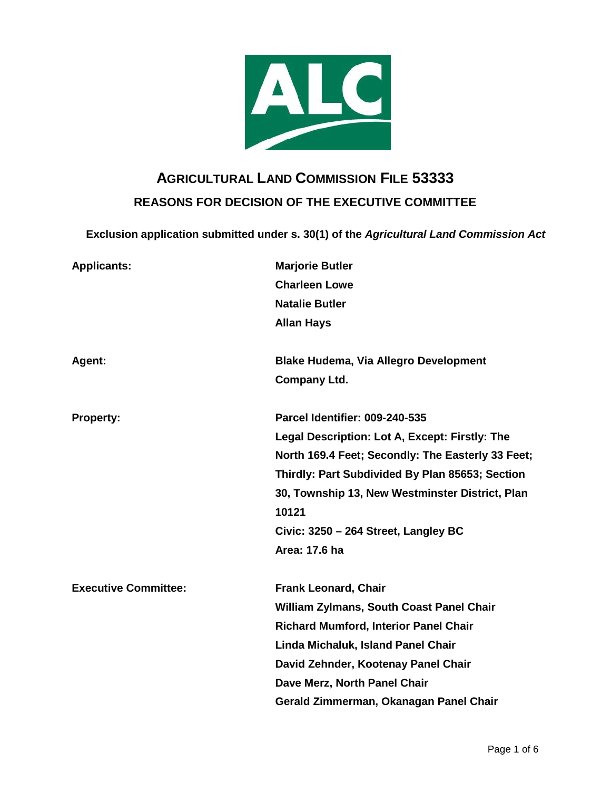

# **AGRICULTURAL LAND COMMISSION FILE 53333 REASONS FOR DECISION OF THE EXECUTIVE COMMITTEE**

**Exclusion application submitted under s. 30(1) of the** *Agricultural Land Commission Act*

| <b>Applicants:</b>          | <b>Marjorie Butler</b>                            |
|-----------------------------|---------------------------------------------------|
|                             | <b>Charleen Lowe</b>                              |
|                             | <b>Natalie Butler</b>                             |
|                             | <b>Allan Hays</b>                                 |
| Agent:                      | <b>Blake Hudema, Via Allegro Development</b>      |
|                             | <b>Company Ltd.</b>                               |
| <b>Property:</b>            | <b>Parcel Identifier: 009-240-535</b>             |
|                             | Legal Description: Lot A, Except: Firstly: The    |
|                             | North 169.4 Feet; Secondly: The Easterly 33 Feet; |
|                             | Thirdly: Part Subdivided By Plan 85653; Section   |
|                             | 30, Township 13, New Westminster District, Plan   |
|                             | 10121                                             |
|                             | Civic: 3250 - 264 Street, Langley BC              |
|                             | Area: 17.6 ha                                     |
| <b>Executive Committee:</b> | <b>Frank Leonard, Chair</b>                       |
|                             | <b>William Zylmans, South Coast Panel Chair</b>   |
|                             | <b>Richard Mumford, Interior Panel Chair</b>      |
|                             | Linda Michaluk, Island Panel Chair                |
|                             | David Zehnder, Kootenay Panel Chair               |
|                             | Dave Merz, North Panel Chair                      |
|                             | Gerald Zimmerman, Okanagan Panel Chair            |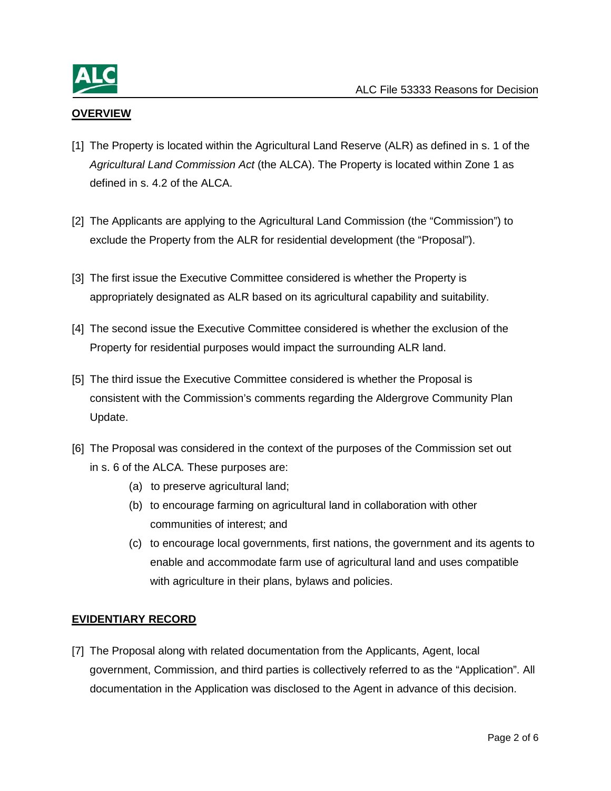

## **OVERVIEW**

- [1] The Property is located within the Agricultural Land Reserve (ALR) as defined in s. 1 of the *Agricultural Land Commission Act* (the ALCA). The Property is located within Zone 1 as defined in s. 4.2 of the ALCA.
- [2] The Applicants are applying to the Agricultural Land Commission (the "Commission") to exclude the Property from the ALR for residential development (the "Proposal").
- [3] The first issue the Executive Committee considered is whether the Property is appropriately designated as ALR based on its agricultural capability and suitability.
- [4] The second issue the Executive Committee considered is whether the exclusion of the Property for residential purposes would impact the surrounding ALR land.
- [5] The third issue the Executive Committee considered is whether the Proposal is consistent with the Commission's comments regarding the Aldergrove Community Plan Update.
- [6] The Proposal was considered in the context of the purposes of the Commission set out in s. 6 of the ALCA*.* These purposes are:
	- (a) to preserve agricultural land;
	- (b) to encourage farming on agricultural land in collaboration with other communities of interest; and
	- (c) to encourage local governments, first nations, the government and its agents to enable and accommodate farm use of agricultural land and uses compatible with agriculture in their plans, bylaws and policies.

### **EVIDENTIARY RECORD**

[7] The Proposal along with related documentation from the Applicants, Agent, local government, Commission, and third parties is collectively referred to as the "Application". All documentation in the Application was disclosed to the Agent in advance of this decision.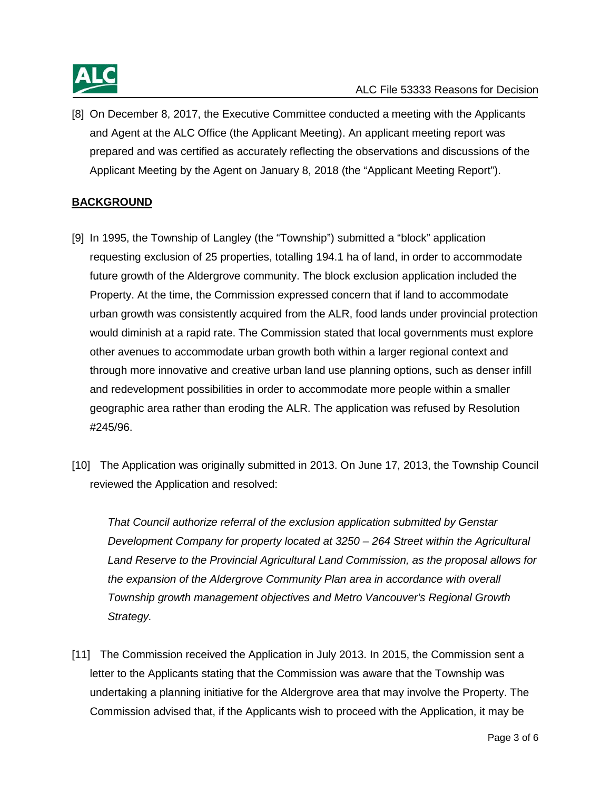

[8] On December 8, 2017, the Executive Committee conducted a meeting with the Applicants and Agent at the ALC Office (the Applicant Meeting). An applicant meeting report was prepared and was certified as accurately reflecting the observations and discussions of the Applicant Meeting by the Agent on January 8, 2018 (the "Applicant Meeting Report").

## **BACKGROUND**

- [9] In 1995, the Township of Langley (the "Township") submitted a "block" application requesting exclusion of 25 properties, totalling 194.1 ha of land, in order to accommodate future growth of the Aldergrove community. The block exclusion application included the Property. At the time, the Commission expressed concern that if land to accommodate urban growth was consistently acquired from the ALR, food lands under provincial protection would diminish at a rapid rate. The Commission stated that local governments must explore other avenues to accommodate urban growth both within a larger regional context and through more innovative and creative urban land use planning options, such as denser infill and redevelopment possibilities in order to accommodate more people within a smaller geographic area rather than eroding the ALR. The application was refused by Resolution #245/96.
- [10] The Application was originally submitted in 2013. On June 17, 2013, the Township Council reviewed the Application and resolved:

*That Council authorize referral of the exclusion application submitted by Genstar Development Company for property located at 3250 – 264 Street within the Agricultural Land Reserve to the Provincial Agricultural Land Commission, as the proposal allows for the expansion of the Aldergrove Community Plan area in accordance with overall Township growth management objectives and Metro Vancouver's Regional Growth Strategy.* 

[11] The Commission received the Application in July 2013. In 2015, the Commission sent a letter to the Applicants stating that the Commission was aware that the Township was undertaking a planning initiative for the Aldergrove area that may involve the Property. The Commission advised that, if the Applicants wish to proceed with the Application, it may be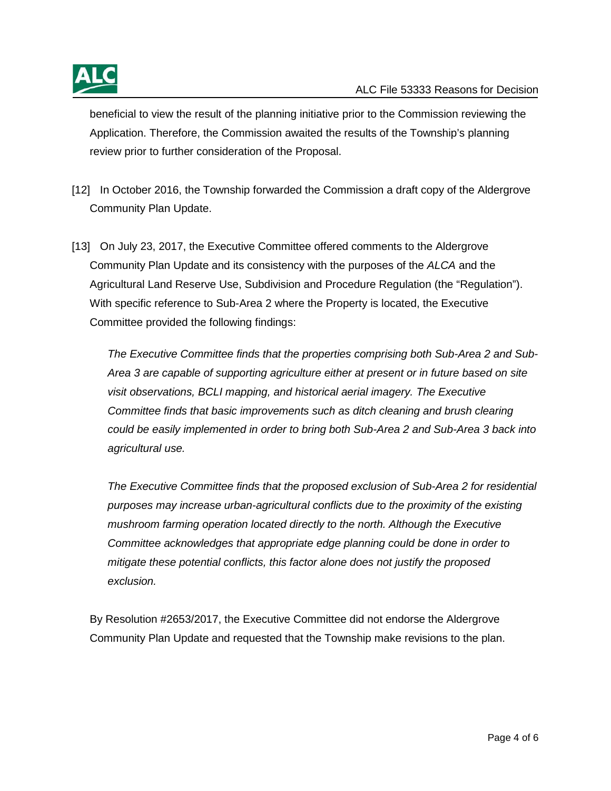

beneficial to view the result of the planning initiative prior to the Commission reviewing the Application. Therefore, the Commission awaited the results of the Township's planning review prior to further consideration of the Proposal.

- [12] In October 2016, the Township forwarded the Commission a draft copy of the Aldergrove Community Plan Update.
- [13] On July 23, 2017, the Executive Committee offered comments to the Aldergrove Community Plan Update and its consistency with the purposes of the *ALCA* and the Agricultural Land Reserve Use, Subdivision and Procedure Regulation (the "Regulation"). With specific reference to Sub-Area 2 where the Property is located, the Executive Committee provided the following findings:

*The Executive Committee finds that the properties comprising both Sub-Area 2 and Sub-Area 3 are capable of supporting agriculture either at present or in future based on site visit observations, BCLI mapping, and historical aerial imagery. The Executive Committee finds that basic improvements such as ditch cleaning and brush clearing could be easily implemented in order to bring both Sub-Area 2 and Sub-Area 3 back into agricultural use.*

*The Executive Committee finds that the proposed exclusion of Sub-Area 2 for residential purposes may increase urban-agricultural conflicts due to the proximity of the existing mushroom farming operation located directly to the north. Although the Executive Committee acknowledges that appropriate edge planning could be done in order to mitigate these potential conflicts, this factor alone does not justify the proposed exclusion.*

By Resolution #2653/2017, the Executive Committee did not endorse the Aldergrove Community Plan Update and requested that the Township make revisions to the plan.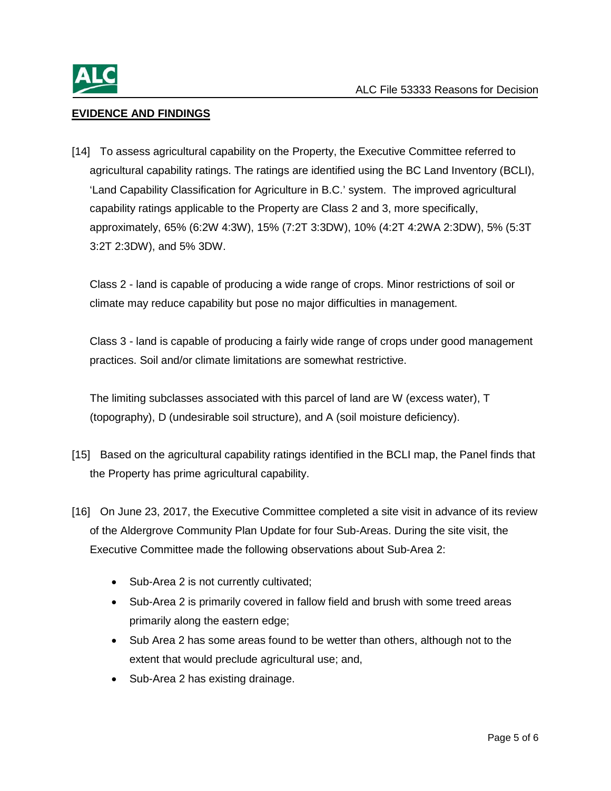

## **EVIDENCE AND FINDINGS**

[14] To assess agricultural capability on the Property, the Executive Committee referred to agricultural capability ratings. The ratings are identified using the BC Land Inventory (BCLI), 'Land Capability Classification for Agriculture in B.C.' system. The improved agricultural capability ratings applicable to the Property are Class 2 and 3, more specifically, approximately, 65% (6:2W 4:3W), 15% (7:2T 3:3DW), 10% (4:2T 4:2WA 2:3DW), 5% (5:3T 3:2T 2:3DW), and 5% 3DW.

Class 2 - land is capable of producing a wide range of crops. Minor restrictions of soil or climate may reduce capability but pose no major difficulties in management.

Class 3 - land is capable of producing a fairly wide range of crops under good management practices. Soil and/or climate limitations are somewhat restrictive.

The limiting subclasses associated with this parcel of land are W (excess water), T (topography), D (undesirable soil structure), and A (soil moisture deficiency).

- [15] Based on the agricultural capability ratings identified in the BCLI map, the Panel finds that the Property has prime agricultural capability.
- [16] On June 23, 2017, the Executive Committee completed a site visit in advance of its review of the Aldergrove Community Plan Update for four Sub-Areas. During the site visit, the Executive Committee made the following observations about Sub-Area 2:
	- Sub-Area 2 is not currently cultivated;
	- Sub-Area 2 is primarily covered in fallow field and brush with some treed areas primarily along the eastern edge;
	- Sub Area 2 has some areas found to be wetter than others, although not to the extent that would preclude agricultural use; and,
	- Sub-Area 2 has existing drainage.